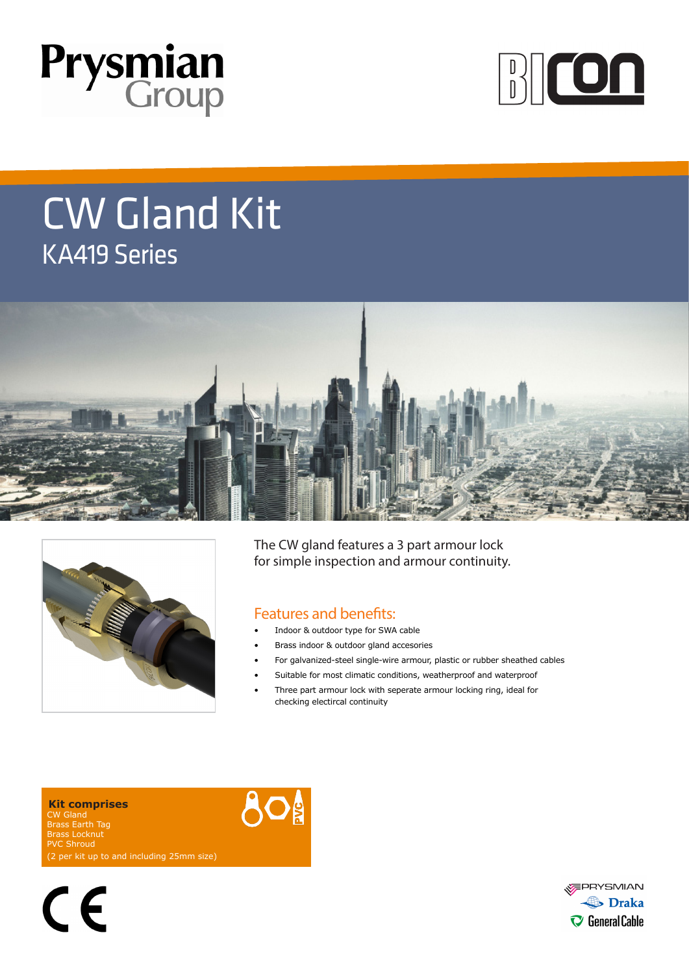



# CW Gland Kit KA419 Series





The CW gland features a 3 part armour lock for simple inspection and armour continuity.

#### Features and benefits:

 $\mathbf{Q}$ 

- Indoor & outdoor type for SWA cable
- Brass indoor & outdoor gland accesories
- For galvanized-steel single-wire armour, plastic or rubber sheathed cables
- Suitable for most climatic conditions, weatherproof and waterproof
- Three part armour lock with seperate armour locking ring, ideal for checking electircal continuity

 **Kit comprises**  CW Gland Brass Earth Tag Brass Locknut PVC Shroud (2 per kit up to and including 25mm size)